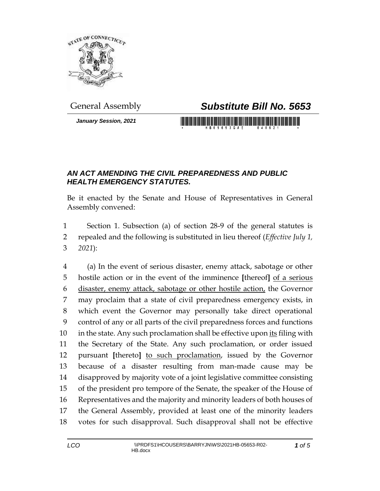

*January Session, 2021*

## General Assembly *Substitute Bill No. 5653*

## *AN ACT AMENDING THE CIVIL PREPAREDNESS AND PUBLIC HEALTH EMERGENCY STATUTES.*

Be it enacted by the Senate and House of Representatives in General Assembly convened:

 Section 1. Subsection (a) of section 28-9 of the general statutes is repealed and the following is substituted in lieu thereof (*Effective July 1, 2021*):

 (a) In the event of serious disaster, enemy attack, sabotage or other hostile action or in the event of the imminence **[**thereof**]** of a serious disaster, enemy attack, sabotage or other hostile action, the Governor may proclaim that a state of civil preparedness emergency exists, in which event the Governor may personally take direct operational control of any or all parts of the civil preparedness forces and functions 10 in the state. Any such proclamation shall be effective upon its filing with the Secretary of the State. Any such proclamation, or order issued pursuant **[**thereto**]** to such proclamation, issued by the Governor because of a disaster resulting from man-made cause may be disapproved by majority vote of a joint legislative committee consisting of the president pro tempore of the Senate, the speaker of the House of Representatives and the majority and minority leaders of both houses of the General Assembly, provided at least one of the minority leaders votes for such disapproval. Such disapproval shall not be effective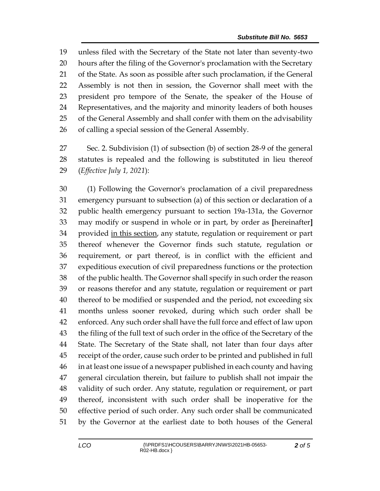unless filed with the Secretary of the State not later than seventy-two hours after the filing of the Governor's proclamation with the Secretary of the State. As soon as possible after such proclamation, if the General Assembly is not then in session, the Governor shall meet with the president pro tempore of the Senate, the speaker of the House of Representatives, and the majority and minority leaders of both houses of the General Assembly and shall confer with them on the advisability of calling a special session of the General Assembly.

 Sec. 2. Subdivision (1) of subsection (b) of section 28-9 of the general statutes is repealed and the following is substituted in lieu thereof (*Effective July 1, 2021*):

 (1) Following the Governor's proclamation of a civil preparedness emergency pursuant to subsection (a) of this section or declaration of a public health emergency pursuant to section 19a-131a, the Governor may modify or suspend in whole or in part, by order as **[**hereinafter**]** 34 provided in this section, any statute, regulation or requirement or part thereof whenever the Governor finds such statute, regulation or requirement, or part thereof, is in conflict with the efficient and expeditious execution of civil preparedness functions or the protection of the public health. The Governor shall specify in such order the reason or reasons therefor and any statute, regulation or requirement or part thereof to be modified or suspended and the period, not exceeding six months unless sooner revoked, during which such order shall be enforced. Any such order shall have the full force and effect of law upon the filing of the full text of such order in the office of the Secretary of the State. The Secretary of the State shall, not later than four days after receipt of the order, cause such order to be printed and published in full in at least one issue of a newspaper published in each county and having general circulation therein, but failure to publish shall not impair the validity of such order. Any statute, regulation or requirement, or part thereof, inconsistent with such order shall be inoperative for the effective period of such order. Any such order shall be communicated by the Governor at the earliest date to both houses of the General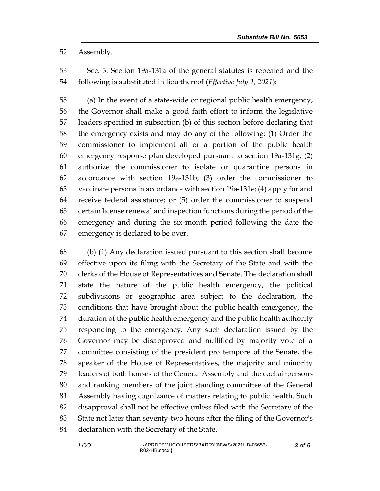Assembly.

 Sec. 3. Section 19a-131a of the general statutes is repealed and the following is substituted in lieu thereof (*Effective July 1, 2021*):

 (a) In the event of a state-wide or regional public health emergency, the Governor shall make a good faith effort to inform the legislative leaders specified in subsection (b) of this section before declaring that the emergency exists and may do any of the following: (1) Order the commissioner to implement all or a portion of the public health emergency response plan developed pursuant to section 19a-131g; (2) authorize the commissioner to isolate or quarantine persons in accordance with section 19a-131b; (3) order the commissioner to vaccinate persons in accordance with section 19a-131e; (4) apply for and receive federal assistance; or (5) order the commissioner to suspend certain license renewal and inspection functions during the period of the emergency and during the six-month period following the date the emergency is declared to be over.

 (b) (1) Any declaration issued pursuant to this section shall become effective upon its filing with the Secretary of the State and with the clerks of the House of Representatives and Senate. The declaration shall state the nature of the public health emergency, the political subdivisions or geographic area subject to the declaration, the conditions that have brought about the public health emergency, the duration of the public health emergency and the public health authority responding to the emergency. Any such declaration issued by the Governor may be disapproved and nullified by majority vote of a committee consisting of the president pro tempore of the Senate, the speaker of the House of Representatives, the majority and minority leaders of both houses of the General Assembly and the cochairpersons and ranking members of the joint standing committee of the General Assembly having cognizance of matters relating to public health. Such disapproval shall not be effective unless filed with the Secretary of the State not later than seventy-two hours after the filing of the Governor's 84 declaration with the Secretary of the State.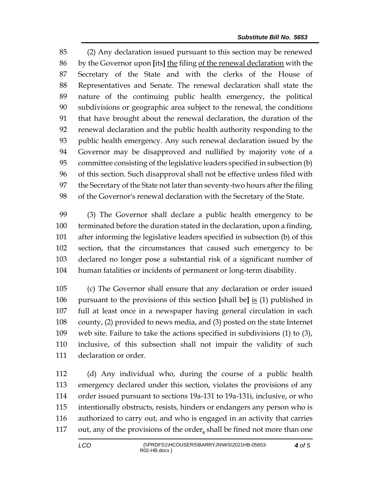(2) Any declaration issued pursuant to this section may be renewed by the Governor upon **[**its**]** the filing of the renewal declaration with the Secretary of the State and with the clerks of the House of Representatives and Senate. The renewal declaration shall state the nature of the continuing public health emergency, the political subdivisions or geographic area subject to the renewal, the conditions that have brought about the renewal declaration, the duration of the renewal declaration and the public health authority responding to the public health emergency. Any such renewal declaration issued by the Governor may be disapproved and nullified by majority vote of a committee consisting of the legislative leaders specified in subsection (b) of this section. Such disapproval shall not be effective unless filed with the Secretary of the State not later than seventy-two hours after the filing of the Governor's renewal declaration with the Secretary of the State.

 (3) The Governor shall declare a public health emergency to be terminated before the duration stated in the declaration, upon a finding, after informing the legislative leaders specified in subsection (b) of this section, that the circumstances that caused such emergency to be declared no longer pose a substantial risk of a significant number of human fatalities or incidents of permanent or long-term disability.

 (c) The Governor shall ensure that any declaration or order issued pursuant to the provisions of this section **[**shall be**]** is (1) published in full at least once in a newspaper having general circulation in each county, (2) provided to news media, and (3) posted on the state Internet web site. Failure to take the actions specified in subdivisions (1) to (3), inclusive, of this subsection shall not impair the validity of such declaration or order.

 (d) Any individual who, during the course of a public health emergency declared under this section, violates the provisions of any order issued pursuant to sections 19a-131 to 19a-131i, inclusive, or who intentionally obstructs, resists, hinders or endangers any person who is authorized to carry out, and who is engaged in an activity that carries out, any of the provisions of the order, shall be fined not more than one